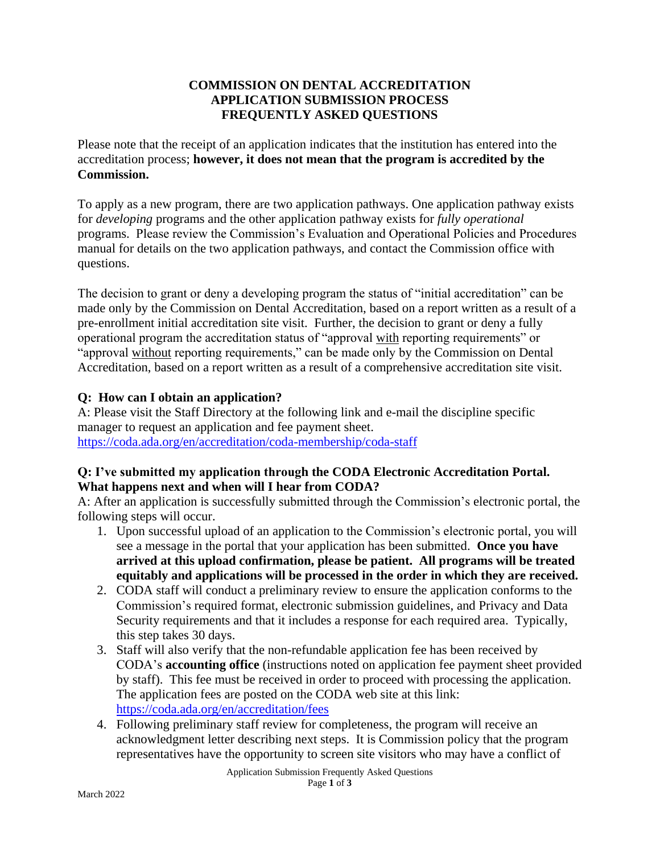## **COMMISSION ON DENTAL ACCREDITATION APPLICATION SUBMISSION PROCESS FREQUENTLY ASKED QUESTIONS**

Please note that the receipt of an application indicates that the institution has entered into the accreditation process; **however, it does not mean that the program is accredited by the Commission.**

To apply as a new program, there are two application pathways. One application pathway exists for *developing* programs and the other application pathway exists for *fully operational*  programs. Please review the Commission's Evaluation and Operational Policies and Procedures manual for details on the two application pathways, and contact the Commission office with questions.

The decision to grant or deny a developing program the status of "initial accreditation" can be made only by the Commission on Dental Accreditation, based on a report written as a result of a pre-enrollment initial accreditation site visit. Further, the decision to grant or deny a fully operational program the accreditation status of "approval with reporting requirements" or "approval without reporting requirements," can be made only by the Commission on Dental Accreditation, based on a report written as a result of a comprehensive accreditation site visit.

# **Q: How can I obtain an application?**

A: Please visit the Staff Directory at the following link and e-mail the discipline specific manager to request an application and fee payment sheet. <https://coda.ada.org/en/accreditation/coda-membership/coda-staff>

# **Q: I've submitted my application through the CODA Electronic Accreditation Portal. What happens next and when will I hear from CODA?**

A: After an application is successfully submitted through the Commission's electronic portal, the following steps will occur.

- 1. Upon successful upload of an application to the Commission's electronic portal, you will see a message in the portal that your application has been submitted. **Once you have arrived at this upload confirmation, please be patient. All programs will be treated equitably and applications will be processed in the order in which they are received.**
- 2. CODA staff will conduct a preliminary review to ensure the application conforms to the Commission's required format, electronic submission guidelines, and Privacy and Data Security requirements and that it includes a response for each required area. Typically, this step takes 30 days.
- 3. Staff will also verify that the non-refundable application fee has been received by CODA's **accounting office** (instructions noted on application fee payment sheet provided by staff). This fee must be received in order to proceed with processing the application. The application fees are posted on the CODA web site at this link: <https://coda.ada.org/en/accreditation/fees>
- 4. Following preliminary staff review for completeness, the program will receive an acknowledgment letter describing next steps. It is Commission policy that the program representatives have the opportunity to screen site visitors who may have a conflict of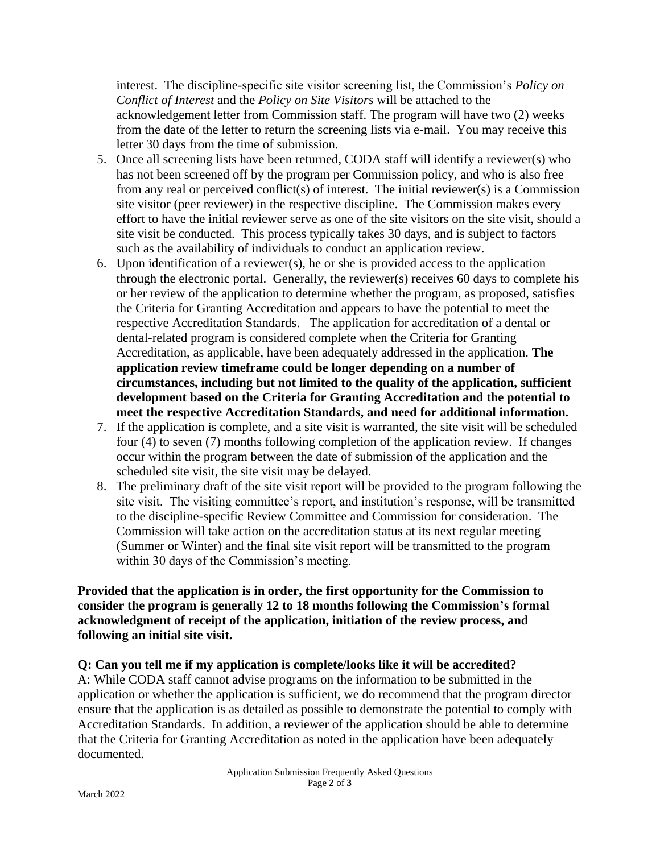interest. The discipline-specific site visitor screening list, the Commission's *Policy on Conflict of Interest* and the *Policy on Site Visitors* will be attached to the acknowledgement letter from Commission staff. The program will have two (2) weeks from the date of the letter to return the screening lists via e-mail. You may receive this letter 30 days from the time of submission.

- 5. Once all screening lists have been returned, CODA staff will identify a reviewer(s) who has not been screened off by the program per Commission policy, and who is also free from any real or perceived conflict(s) of interest. The initial reviewer(s) is a Commission site visitor (peer reviewer) in the respective discipline. The Commission makes every effort to have the initial reviewer serve as one of the site visitors on the site visit, should a site visit be conducted. This process typically takes 30 days, and is subject to factors such as the availability of individuals to conduct an application review.
- 6. Upon identification of a reviewer(s), he or she is provided access to the application through the electronic portal. Generally, the reviewer(s) receives 60 days to complete his or her review of the application to determine whether the program, as proposed, satisfies the Criteria for Granting Accreditation and appears to have the potential to meet the respective Accreditation Standards. The application for accreditation of a dental or dental-related program is considered complete when the Criteria for Granting Accreditation, as applicable, have been adequately addressed in the application. **The application review timeframe could be longer depending on a number of circumstances, including but not limited to the quality of the application, sufficient development based on the Criteria for Granting Accreditation and the potential to meet the respective Accreditation Standards, and need for additional information.**
- 7. If the application is complete, and a site visit is warranted, the site visit will be scheduled four (4) to seven (7) months following completion of the application review. If changes occur within the program between the date of submission of the application and the scheduled site visit, the site visit may be delayed.
- 8. The preliminary draft of the site visit report will be provided to the program following the site visit. The visiting committee's report, and institution's response, will be transmitted to the discipline-specific Review Committee and Commission for consideration. The Commission will take action on the accreditation status at its next regular meeting (Summer or Winter) and the final site visit report will be transmitted to the program within 30 days of the Commission's meeting.

#### **Provided that the application is in order, the first opportunity for the Commission to consider the program is generally 12 to 18 months following the Commission's formal acknowledgment of receipt of the application, initiation of the review process, and following an initial site visit.**

### **Q: Can you tell me if my application is complete/looks like it will be accredited?**

A: While CODA staff cannot advise programs on the information to be submitted in the application or whether the application is sufficient, we do recommend that the program director ensure that the application is as detailed as possible to demonstrate the potential to comply with Accreditation Standards. In addition, a reviewer of the application should be able to determine that the Criteria for Granting Accreditation as noted in the application have been adequately documented.